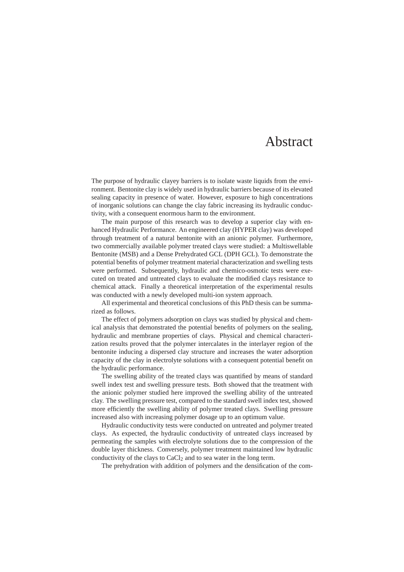## Abstract

The purpose of hydraulic clayey barriers is to isolate waste liquids from the environment. Bentonite clay is widely used in hydraulic barriers because of its elevated sealing capacity in presence of water. However, exposure to high concentrations of inorganic solutions can change the clay fabric increasing its hydraulic conductivity, with a consequent enormous harm to the environment.

The main purpose of this research was to develop a superior clay with enhanced Hydraulic Performance. An engineered clay (HYPER clay) was developed through treatment of a natural bentonite with an anionic polymer. Furthermore, two commercially available polymer treated clays were studied: a Multiswellable Bentonite (MSB) and a Dense Prehydrated GCL (DPH GCL). To demonstrate the potential benefits of polymer treatment material characterization and swelling tests were performed. Subsequently, hydraulic and chemico-osmotic tests were executed on treated and untreated clays to evaluate the modified clays resistance to chemical attack. Finally a theoretical interpretation of the experimental results was conducted with a newly developed multi-ion system approach.

All experimental and theoretical conclusions of this PhD thesis can be summarized as follows.

The effect of polymers adsorption on clays was studied by physical and chemical analysis that demonstrated the potential benefits of polymers on the sealing, hydraulic and membrane properties of clays. Physical and chemical characterization results proved that the polymer intercalates in the interlayer region of the bentonite inducing a dispersed clay structure and increases the water adsorption capacity of the clay in electrolyte solutions with a consequent potential benefit on the hydraulic performance.

The swelling ability of the treated clays was quantified by means of standard swell index test and swelling pressure tests. Both showed that the treatment with the anionic polymer studied here improved the swelling ability of the untreated clay. The swelling pressure test, compared to the standard swell index test, showed more efficiently the swelling ability of polymer treated clays. Swelling pressure increased also with increasing polymer dosage up to an optimum value.

Hydraulic conductivity tests were conducted on untreated and polymer treated clays. As expected, the hydraulic conductivity of untreated clays increased by permeating the samples with electrolyte solutions due to the compression of the double layer thickness. Conversely, polymer treatment maintained low hydraulic conductivity of the clays to  $CaCl<sub>2</sub>$  and to sea water in the long term.

The prehydration with addition of polymers and the densification of the com-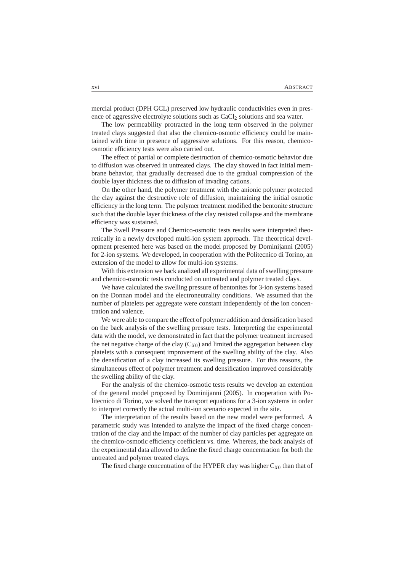mercial product (DPH GCL) preserved low hydraulic conductivities even in presence of aggressive electrolyte solutions such as CaCl<sub>2</sub> solutions and sea water.

The low permeability protracted in the long term observed in the polymer treated clays suggested that also the chemico-osmotic efficiency could be maintained with time in presence of aggressive solutions. For this reason, chemicoosmotic efficiency tests were also carried out.

The effect of partial or complete destruction of chemico-osmotic behavior due to diffusion was observed in untreated clays. The clay showed in fact initial membrane behavior, that gradually decreased due to the gradual compression of the double layer thickness due to diffusion of invading cations.

On the other hand, the polymer treatment with the anionic polymer protected the clay against the destructive role of diffusion, maintaining the initial osmotic efficiency in the long term. The polymer treatment modified the bentonite structure such that the double layer thickness of the clay resisted collapse and the membrane efficiency was sustained.

The Swell Pressure and Chemico-osmotic tests results were interpreted theoretically in a newly developed multi-ion system approach. The theoretical development presented here was based on the model proposed by Dominijanni (2005) for 2-ion systems. We developed, in cooperation with the Politecnico di Torino, an extension of the model to allow for multi-ion systems.

With this extension we back analized all experimental data of swelling pressure and chemico-osmotic tests conducted on untreated and polymer treated clays.

We have calculated the swelling pressure of bentonites for 3-ion systems based on the Donnan model and the electroneutrality conditions. We assumed that the number of platelets per aggregate were constant independently of the ion concentration and valence.

We were able to compare the effect of polymer addition and densification based on the back analysis of the swelling pressure tests. Interpreting the experimental data with the model, we demonstrated in fact that the polymer treatment increased the net negative charge of the clay  $(C_{X0})$  and limited the aggregation between clay platelets with a consequent improvement of the swelling ability of the clay. Also the densification of a clay increased its swelling pressure. For this reasons, the simultaneous effect of polymer treatment and densification improved considerably the swelling ability of the clay.

For the analysis of the chemico-osmotic tests results we develop an extention of the general model proposed by Dominijanni (2005). In cooperation with Politecnico di Torino, we solved the transport equations for a 3-ion systems in order to interpret correctly the actual multi-ion scenario expected in the site.

The interpretation of the results based on the new model were performed. A parametric study was intended to analyze the impact of the fixed charge concentration of the clay and the impact of the number of clay particles per aggregate on the chemico-osmotic efficiency coefficient vs. time. Whereas, the back analysis of the experimental data allowed to define the fixed charge concentration for both the untreated and polymer treated clays.

The fixed charge concentration of the HYPER clay was higher  $C_{X0}$  than that of